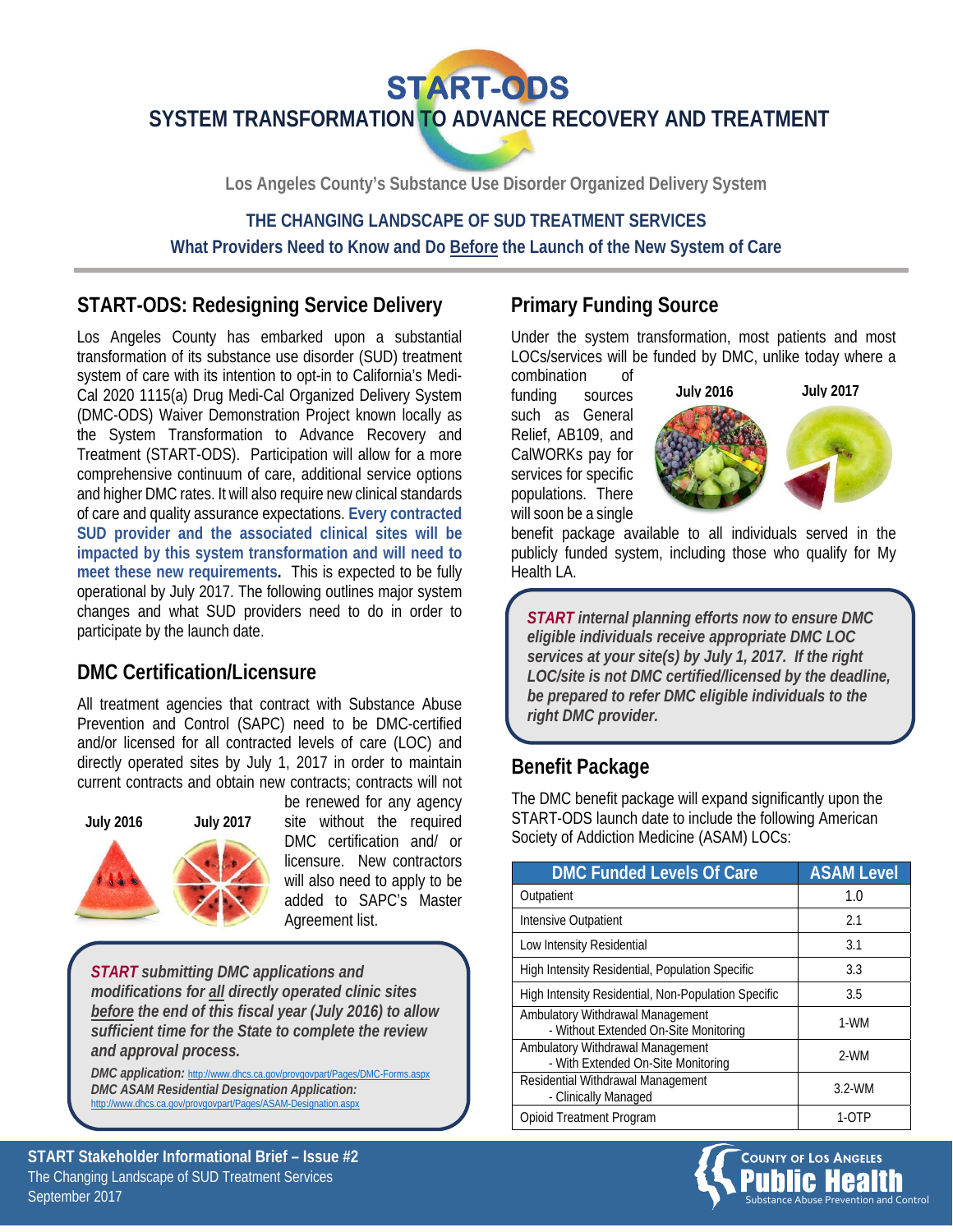

**Los Angeles County's Substance Use Disorder Organized Delivery System**

#### **THE CHANGING LANDSCAPE OF SUD TREATMENT SERVICES What Providers Need to Know and Do Before the Launch of the New System of Care**

# **START-ODS: Redesigning Service Delivery**

Los Angeles County has embarked upon a substantial transformation of its substance use disorder (SUD) treatment system of care with its intention to opt-in to California's Medi-Cal 2020 1115(a) Drug Medi-Cal Organized Delivery System (DMC-ODS) Waiver Demonstration Project known locally as the System Transformation to Advance Recovery and Treatment (START-ODS). Participation will allow for a more comprehensive continuum of care, additional service options and higher DMC rates. It will also require new clinical standards of care and quality assurance expectations. **Every contracted SUD provider and the associated clinical sites will be impacted by this system transformation and will need to meet these new requirements.** This is expected to be fully operational by July 2017. The following outlines major system changes and what SUD providers need to do in order to participate by the launch date.

#### **DMC Certification/Licensure**

All treatment agencies that contract with Substance Abuse Prevention and Control (SAPC) need to be DMC-certified and/or licensed for all contracted levels of care (LOC) and directly operated sites by July 1, 2017 in order to maintain current contracts and obtain new contracts; contracts will not



be renewed for any agency site without the required DMC certification and/ or licensure. New contractors will also need to apply to be added to SAPC's Master Agreement list.

*START submitting DMC applications and modifications for all directly operated clinic sites before the end of this fiscal year (July 2016) to allow sufficient time for the State to complete the review and approval process.* 

*DMC application:* http://www.dhcs.ca.gov/provgovpart/Pages/DMC-Forms.aspx *DMC ASAM Residential Designation Application:*  http://www.dhcs.ca.gov/provgovpart/Pages/ASAM-De

### **Primary Funding Source**

Under the system transformation, most patients and most LOCs/services will be funded by DMC, unlike today where a combination of

funding sources such as General Relief, AB109, and CalWORKs pay for services for specific populations. There will soon be a single



benefit package available to all individuals served in the publicly funded system, including those who qualify for My Health LA.

*START internal planning efforts now to ensure DMC eligible individuals receive appropriate DMC LOC services at your site(s) by July 1, 2017. If the right LOC/site is not DMC certified/licensed by the deadline, be prepared to refer DMC eligible individuals to the right DMC provider.* 

#### **Benefit Package**

The DMC benefit package will expand significantly upon the START-ODS launch date to include the following American Society of Addiction Medicine (ASAM) LOCs:

| <b>DMC Funded Levels Of Care</b>                                          | <b>ASAM Level</b> |
|---------------------------------------------------------------------------|-------------------|
| Outpatient                                                                | 1.0               |
| Intensive Outpatient                                                      | 2.1               |
| Low Intensity Residential                                                 | 3.1               |
| High Intensity Residential, Population Specific                           | 3.3               |
| High Intensity Residential, Non-Population Specific                       | 3.5               |
| Ambulatory Withdrawal Management<br>- Without Extended On-Site Monitoring | 1-WM              |
| Ambulatory Withdrawal Management<br>- With Extended On-Site Monitoring    | 2-WM              |
| Residential Withdrawal Management<br>- Clinically Managed                 | $3.2-WM$          |
| <b>Opioid Treatment Program</b>                                           | 1-O I P           |



**START Stakeholder Informational Brief – Issue #2**  The Changing Landscape of SUD Treatment Services September 2017 Substance Abuse Prevention and Control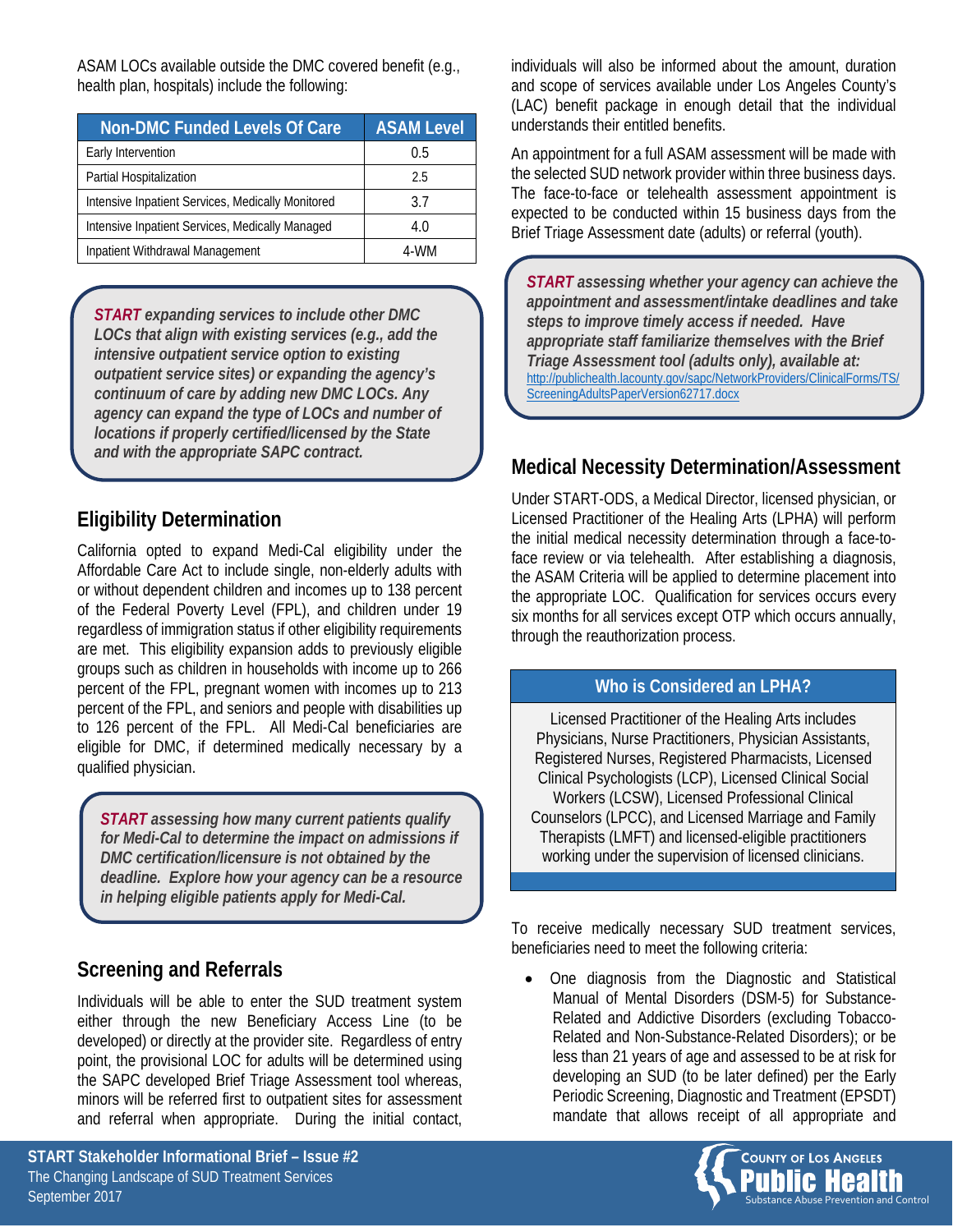ASAM LOCs available outside the DMC covered benefit (e.g., health plan, hospitals) include the following:

| <b>Non-DMC Funded Levels Of Care</b>              | <b>ASAM Level</b> |
|---------------------------------------------------|-------------------|
| Early Intervention                                | 0.5               |
| Partial Hospitalization                           | 2.5               |
| Intensive Inpatient Services, Medically Monitored | 3.7               |
| Intensive Inpatient Services, Medically Managed   | 4.0               |
| Inpatient Withdrawal Management                   | 4-WM              |

*START expanding services to include other DMC LOCs that align with existing services (e.g., add the intensive outpatient service option to existing outpatient service sites) or expanding the agency's continuum of care by adding new DMC LOCs. Any agency can expand the type of LOCs and number of locations if properly certified/licensed by the State and with the appropriate SAPC contract.* 

# **Eligibility Determination**

California opted to expand Medi-Cal eligibility under the Affordable Care Act to include single, non-elderly adults with or without dependent children and incomes up to 138 percent of the Federal Poverty Level (FPL), and children under 19 regardless of immigration status if other eligibility requirements are met. This eligibility expansion adds to previously eligible groups such as children in households with income up to 266 percent of the FPL, pregnant women with incomes up to 213 percent of the FPL, and seniors and people with disabilities up to 126 percent of the FPL. All Medi-Cal beneficiaries are eligible for DMC, if determined medically necessary by a qualified physician.

*START assessing how many current patients qualify for Medi-Cal to determine the impact on admissions if DMC certification/licensure is not obtained by the deadline. Explore how your agency can be a resource in helping eligible patients apply for Medi-Cal.*

# **Screening and Referrals**

Individuals will be able to enter the SUD treatment system either through the new Beneficiary Access Line (to be developed) or directly at the provider site. Regardless of entry point, the provisional LOC for adults will be determined using the SAPC developed Brief Triage Assessment tool whereas, minors will be referred first to outpatient sites for assessment and referral when appropriate. During the initial contact,

individuals will also be informed about the amount, duration and scope of services available under Los Angeles County's (LAC) benefit package in enough detail that the individual understands their entitled benefits.

An appointment for a full ASAM assessment will be made with the selected SUD network provider within three business days. The face-to-face or telehealth assessment appointment is expected to be conducted within 15 business days from the Brief Triage Assessment date (adults) or referral (youth).

*START assessing whether your agency can achieve the appointment and assessment/intake deadlines and take steps to improve timely access if needed. Have appropriate staff familiarize themselves with the Brief Triage Assessment tool (adults only), available at:*  [http://publichealth.lacounty.gov/sapc/NetworkProviders/ClinicalForms/TS/](http://publichealth.lacounty.gov/sapc/NetworkProviders/ClinicalForms/TS/ScreeningAdultsPaperVersion62717.docx) ScreeningAdultsPaperVersion62717.docx

# **Medical Necessity Determination/Assessment**

Under START-ODS, a Medical Director, licensed physician, or Licensed Practitioner of the Healing Arts (LPHA) will perform the initial medical necessity determination through a face-toface review or via telehealth. After establishing a diagnosis, the ASAM Criteria will be applied to determine placement into the appropriate LOC. Qualification for services occurs every six months for all services except OTP which occurs annually, through the reauthorization process.

#### **Who is Considered an LPHA?**

Licensed Practitioner of the Healing Arts includes Physicians, Nurse Practitioners, Physician Assistants, Registered Nurses, Registered Pharmacists, Licensed Clinical Psychologists (LCP), Licensed Clinical Social Workers (LCSW), Licensed Professional Clinical Counselors (LPCC), and Licensed Marriage and Family Therapists (LMFT) and licensed-eligible practitioners working under the supervision of licensed clinicians.

To receive medically necessary SUD treatment services, beneficiaries need to meet the following criteria:

 One diagnosis from the Diagnostic and Statistical Manual of Mental Disorders (DSM-5) for Substance-Related and Addictive Disorders (excluding Tobacco-Related and Non-Substance-Related Disorders); or be less than 21 years of age and assessed to be at risk for developing an SUD (to be later defined) per the Early Periodic Screening, Diagnostic and Treatment (EPSDT) mandate that allows receipt of all appropriate and

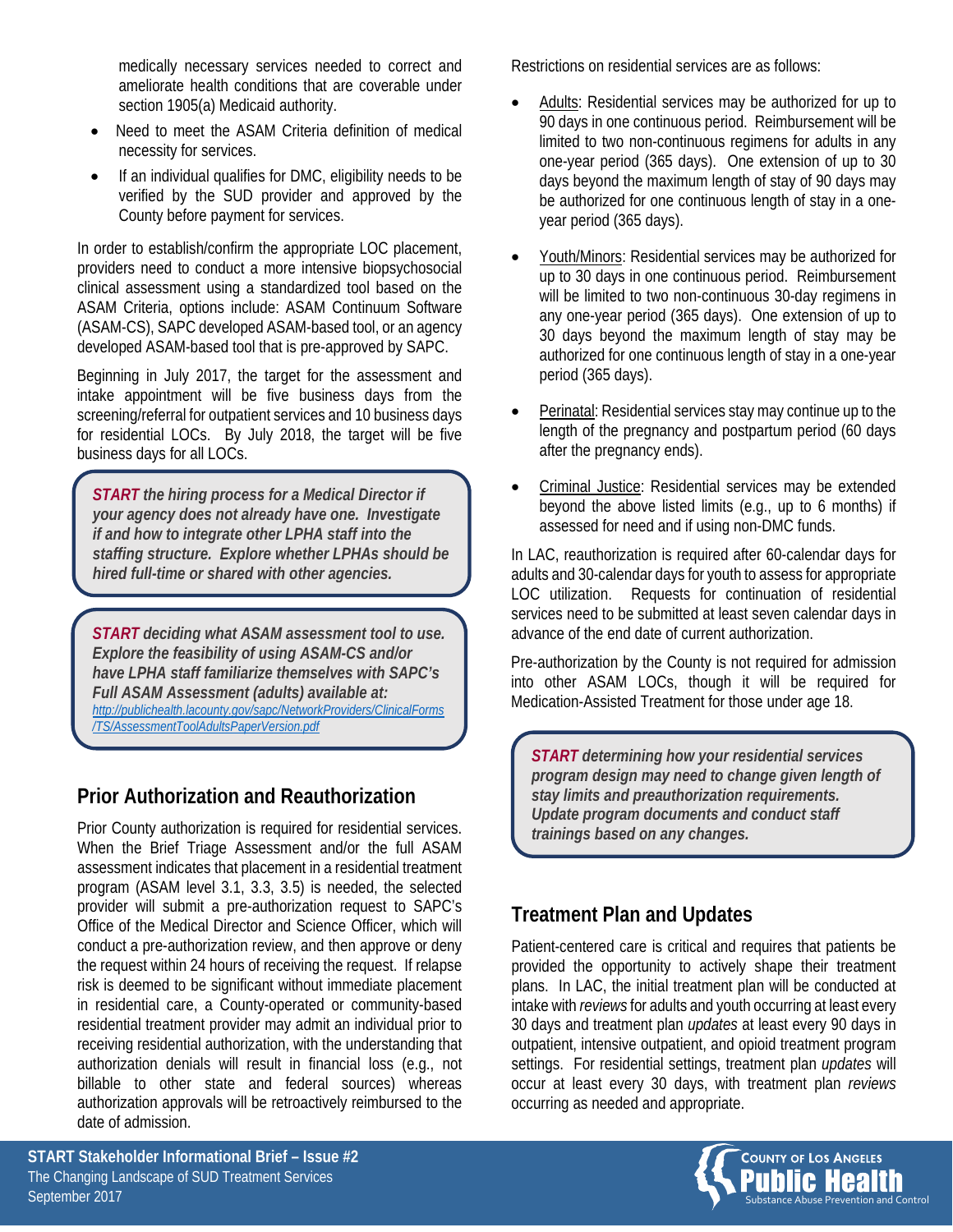medically necessary services needed to correct and ameliorate health conditions that are coverable under section 1905(a) Medicaid authority.

- Need to meet the ASAM Criteria definition of medical necessity for services.
- If an individual qualifies for DMC, eligibility needs to be verified by the SUD provider and approved by the County before payment for services.

In order to establish/confirm the appropriate LOC placement, providers need to conduct a more intensive biopsychosocial clinical assessment using a standardized tool based on the ASAM Criteria, options include: ASAM Continuum Software (ASAM-CS), SAPC developed ASAM-based tool, or an agency developed ASAM-based tool that is pre-approved by SAPC.

Beginning in July 2017, the target for the assessment and intake appointment will be five business days from the screening/referral for outpatient services and 10 business days for residential LOCs. By July 2018, the target will be five business days for all LOCs.

*START the hiring process for a Medical Director if your agency does not already have one. Investigate if and how to integrate other LPHA staff into the staffing structure. Explore whether LPHAs should be hired full-time or shared with other agencies.*

*START deciding what ASAM assessment tool to use. Explore the feasibility of using ASAM-CS and/or have LPHA staff familiarize themselves with SAPC's Full ASAM Assessment (adults) available at: [http://publichealth.lacounty.gov/sapc/NetworkProviders/ClinicalForms](http://publichealth.lacounty.gov/sapc/NetworkProviders/ClinicalForms/TS/AssessmentToolAdultsPaperVersion.pdf) /TS/AssessmentToolAdultsPaperVersion.pdf*

# **Prior Authorization and Reauthorization**

Prior County authorization is required for residential services. When the Brief Triage Assessment and/or the full ASAM assessment indicates that placement in a residential treatment program (ASAM level 3.1, 3.3, 3.5) is needed, the selected provider will submit a pre-authorization request to SAPC's Office of the Medical Director and Science Officer, which will conduct a pre-authorization review, and then approve or deny the request within 24 hours of receiving the request. If relapse risk is deemed to be significant without immediate placement in residential care, a County-operated or community-based residential treatment provider may admit an individual prior to receiving residential authorization, with the understanding that authorization denials will result in financial loss (e.g., not billable to other state and federal sources) whereas authorization approvals will be retroactively reimbursed to the date of admission.

Restrictions on residential services are as follows:

- Adults: Residential services may be authorized for up to 90 days in one continuous period. Reimbursement will be limited to two non-continuous regimens for adults in any one-year period (365 days). One extension of up to 30 days beyond the maximum length of stay of 90 days may be authorized for one continuous length of stay in a oneyear period (365 days).
- Youth/Minors: Residential services may be authorized for up to 30 days in one continuous period. Reimbursement will be limited to two non-continuous 30-day regimens in any one-year period (365 days). One extension of up to 30 days beyond the maximum length of stay may be authorized for one continuous length of stay in a one-year period (365 days).
- Perinatal: Residential services stay may continue up to the length of the pregnancy and postpartum period (60 days after the pregnancy ends).
- Criminal Justice: Residential services may be extended beyond the above listed limits (e.g., up to 6 months) if assessed for need and if using non-DMC funds.

In LAC, reauthorization is required after 60-calendar days for adults and 30-calendar days for youth to assess for appropriate LOC utilization. Requests for continuation of residential services need to be submitted at least seven calendar days in advance of the end date of current authorization.

Pre-authorization by the County is not required for admission into other ASAM LOCs, though it will be required for Medication-Assisted Treatment for those under age 18.

*START determining how your residential services program design may need to change given length of stay limits and preauthorization requirements. Update program documents and conduct staff trainings based on any changes.*

# **Treatment Plan and Updates**

Patient-centered care is critical and requires that patients be provided the opportunity to actively shape their treatment plans. In LAC, the initial treatment plan will be conducted at intake with *reviews* for adults and youth occurring at least every 30 days and treatment plan *updates* at least every 90 days in outpatient, intensive outpatient, and opioid treatment program settings. For residential settings, treatment plan *updates* will occur at least every 30 days, with treatment plan *reviews* occurring as needed and appropriate.